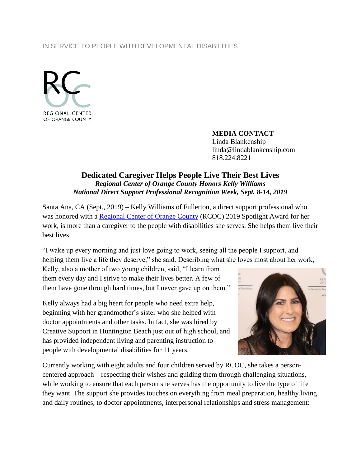## IN SERVICE TO PEOPLE WITH DEVELOPMENTAL DISABILITIES



**MEDIA CONTACT** Linda Blankenship linda@lindablankenship.com 818.224.8221

## **Dedicated Caregiver Helps People Live Their Best Lives** *Regional Center of Orange County Honors Kelly Williams National Direct Support Professional Recognition Week, Sept. 8-14, 2019*

Santa Ana, CA (Sept., 2019) – Kelly Williams of Fullerton, a direct support professional who was honored with a [Regional Center of Orange County](http://www.rcocdd.com/) (RCOC) 2019 Spotlight Award for her work, is more than a caregiver to the people with disabilities she serves. She helps them live their best lives.

"I wake up every morning and just love going to work, seeing all the people I support, and helping them live a life they deserve," she said. Describing what she loves most about her work,

Kelly, also a mother of two young children, said, "I learn from them every day and I strive to make their lives better. A few of them have gone through hard times, but I never gave up on them."

Kelly always had a big heart for people who need extra help, beginning with her grandmother's sister who she helped with doctor appointments and other tasks. In fact, she was hired by Creative Support in Huntington Beach just out of high school, and has provided independent living and parenting instruction to people with developmental disabilities for 11 years.



Currently working with eight adults and four children served by RCOC, she takes a personcentered approach – respecting their wishes and guiding them through challenging situations, while working to ensure that each person she serves has the opportunity to live the type of life they want. The support she provides touches on everything from meal preparation, healthy living and daily routines, to doctor appointments, interpersonal relationships and stress management: